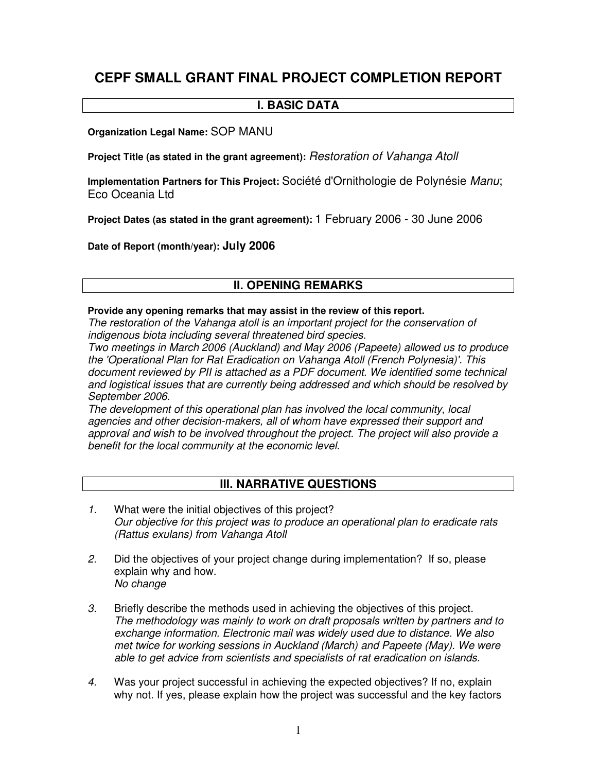# **CEPF SMALL GRANT FINAL PROJECT COMPLETION REPORT**

#### **I. BASIC DATA**

**Organization Legal Name:** SOP MANU

**Project Title (as stated in the grant agreement):** *Restoration of Vahanga Atoll*

**Implementation Partners for This Project:** Société d'Ornithologie de Polynésie *Manu*; Eco Oceania Ltd

**Project Dates (as stated in the grant agreement):** 1 February 2006 - 30 June 2006

**Date of Report (month/year): July 2006**

# **II. OPENING REMARKS**

#### **Provide any opening remarks that may assist in the review of this report.**

*The restoration of the Vahanga atoll is an important project for the conservation of indigenous biota including several threatened bird species.*

*Two meetings in March 2006 (Auckland) and May 2006 (Papeete) allowed us to produce the 'Operational Plan for Rat Eradication on Vahanga Atoll (French Polynesia)'. This document reviewed by PII is attached as a PDF document. We identified some technical and logistical issues that are currently being addressed and which should be resolved by September 2006.*

*The development of this operational plan has involved the local community, local agencies and other decision-makers, all of whom have expressed their support and approval and wish to be involved throughout the project. The project will also provide a benefit for the local community at the economic level.*

# **III. NARRATIVE QUESTIONS**

- *1.* What were the initial objectives of this project? *Our objective for this project was to produce an operational plan to eradicate rats (Rattus exulans) from Vahanga Atoll*
- *2.* Did the objectives of your project change during implementation? If so, please explain why and how. *No change*
- *3.* Briefly describe the methods used in achieving the objectives of this project. *The methodology was mainly to work on draft proposals written by partners and to exchange information. Electronic mail was widely used due to distance. We also met twice for working sessions in Auckland (March) and Papeete (May). We were able to get advice from scientists and specialists of rat eradication on islands.*
- *4.* Was your project successful in achieving the expected objectives? If no, explain why not. If yes, please explain how the project was successful and the key factors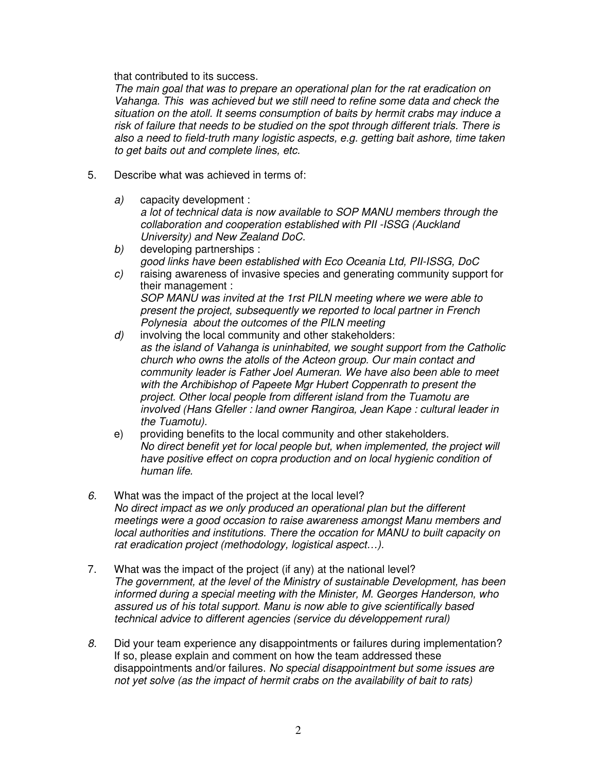that contributed to its success.

*The main goal that was to prepare an operational plan for the rat eradication on Vahanga. This was achieved but we still need to refine some data and check the situation on the atoll. It seems consumption of baits by hermit crabs may induce a risk of failure that needs to be studied on the spot through different trials. There is also a need to field-truth many logistic aspects, e.g. getting bait ashore, time taken to get baits out and complete lines, etc.*

- 5. Describe what was achieved in terms of:
	- *a)* capacity development : *a lot of technical data is now available to SOP MANU members through the collaboration and cooperation established with PII -ISSG (Auckland University) and New Zealand DoC.*
	- *b)* developing partnerships : *good links have been established with Eco Oceania Ltd, PII-ISSG, DoC*
	- *c)* raising awareness of invasive species and generating community support for their management : *SOP MANU was invited at the 1rst PILN meeting where we were able to present the project, subsequently we reported to local partner in French Polynesia about the outcomes of the PILN meeting*
	- *d)* involving the local community and other stakeholders: *as the island of Vahanga is uninhabited, we sought support from the Catholic church who owns the atolls of the Acteon group. Our main contact and community leader is Father Joel Aumeran. We have also been able to meet with the Archibishop of Papeete Mgr Hubert Coppenrath to present the project. Other local people from different island from the Tuamotu are involved (Hans Gfeller : land owner Rangiroa, Jean Kape : cultural leader in the Tuamotu).*
	- e) providing benefits to the local community and other stakeholders. *No direct benefit yet for local people but, when implemented, the project will have positive effect on copra production and on local hygienic condition of human life.*
- *6.* What was the impact of the project at the local level? *No direct impact as we only produced an operational plan but the different meetings were a good occasion to raise awareness amongst Manu members and local authorities and institutions. There the occation for MANU to built capacity on rat eradication project (methodology, logistical aspect…).*
- 7. What was the impact of the project (if any) at the national level? *The government, at the level of the Ministry of sustainable Development, has been informed during a special meeting with the Minister, M. Georges Handerson, who assured us of his total support. Manu is now able to give scientifically based technical advice to different agencies (service du développement rural)*
- *8.* Did your team experience any disappointments or failures during implementation? If so, please explain and comment on how the team addressed these disappointments and/or failures. *No special disappointment but some issues are not yet solve (as the impact of hermit crabs on the availability of bait to rats)*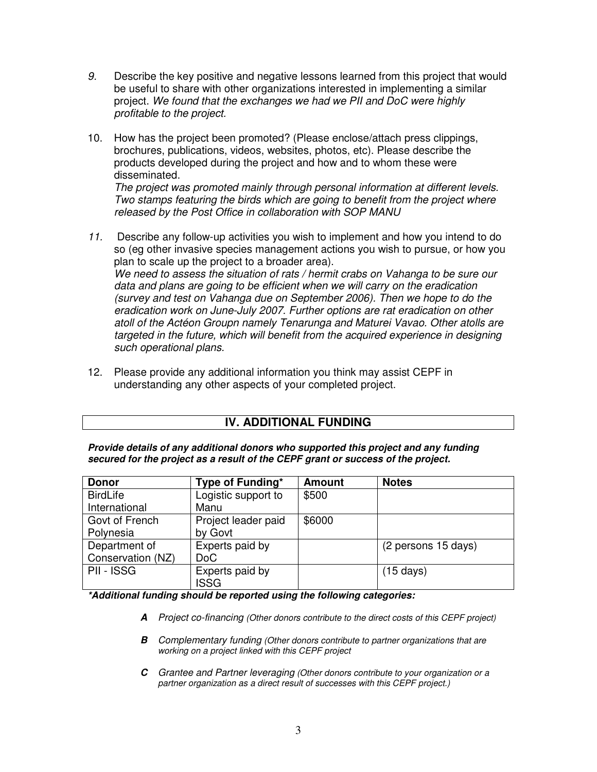- *9.* Describe the key positive and negative lessons learned from this project that would be useful to share with other organizations interested in implementing a similar project. *We found that the exchanges we had we PII and DoC were highly profitable to the project.*
- 10. How has the project been promoted? (Please enclose/attach press clippings, brochures, publications, videos, websites, photos, etc). Please describe the products developed during the project and how and to whom these were disseminated.

*The project was promoted mainly through personal information at different levels. Two stamps featuring the birds which are going to benefit from the project where released by the Post Office in collaboration with SOP MANU*

- *11.* Describe any follow-up activities you wish to implement and how you intend to do so (eg other invasive species management actions you wish to pursue, or how you plan to scale up the project to a broader area). *We need to assess the situation of rats / hermit crabs on Vahanga to be sure our data and plans are going to be efficient when we will carry on the eradication (survey and test on Vahanga due on September 2006). Then we hope to do the eradication work on June-July 2007. Further options are rat eradication on other atoll of the Actéon Groupn namely Tenarunga and Maturei Vavao. Other atolls are targeted in the future, which will benefit from the acquired experience in designing such operational plans.*
- 12. Please provide any additional information you think may assist CEPF in understanding any other aspects of your completed project.

# **IV. ADDITIONAL FUNDING**

*Provide details of any additional donors who supported this project and any funding secured for the project as a result of the CEPF grant or success of the project.*

| <b>Donor</b>      | Type of Funding*    | <b>Amount</b> | <b>Notes</b>        |
|-------------------|---------------------|---------------|---------------------|
| <b>BirdLife</b>   | Logistic support to | \$500         |                     |
| International     | Manu                |               |                     |
| Govt of French    | Project leader paid | \$6000        |                     |
| Polynesia         | by Govt             |               |                     |
| Department of     | Experts paid by     |               | (2 persons 15 days) |
| Conservation (NZ) | DoC                 |               |                     |
| <b>PII - ISSG</b> | Experts paid by     |               | $(15 \text{ days})$ |
|                   | <b>ISSG</b>         |               |                     |

*\*Additional funding should be reported using the following categories:*

- *A Project co-financing (Other donors contribute to the direct costs of this CEPF project)*
- *B Complementary funding (Other donors contribute to partner organizations that are working on a project linked with this CEPF project*
- *C Grantee and Partner leveraging (Other donors contribute to your organization or a partner organization as a direct result of successes with this CEPF project.)*